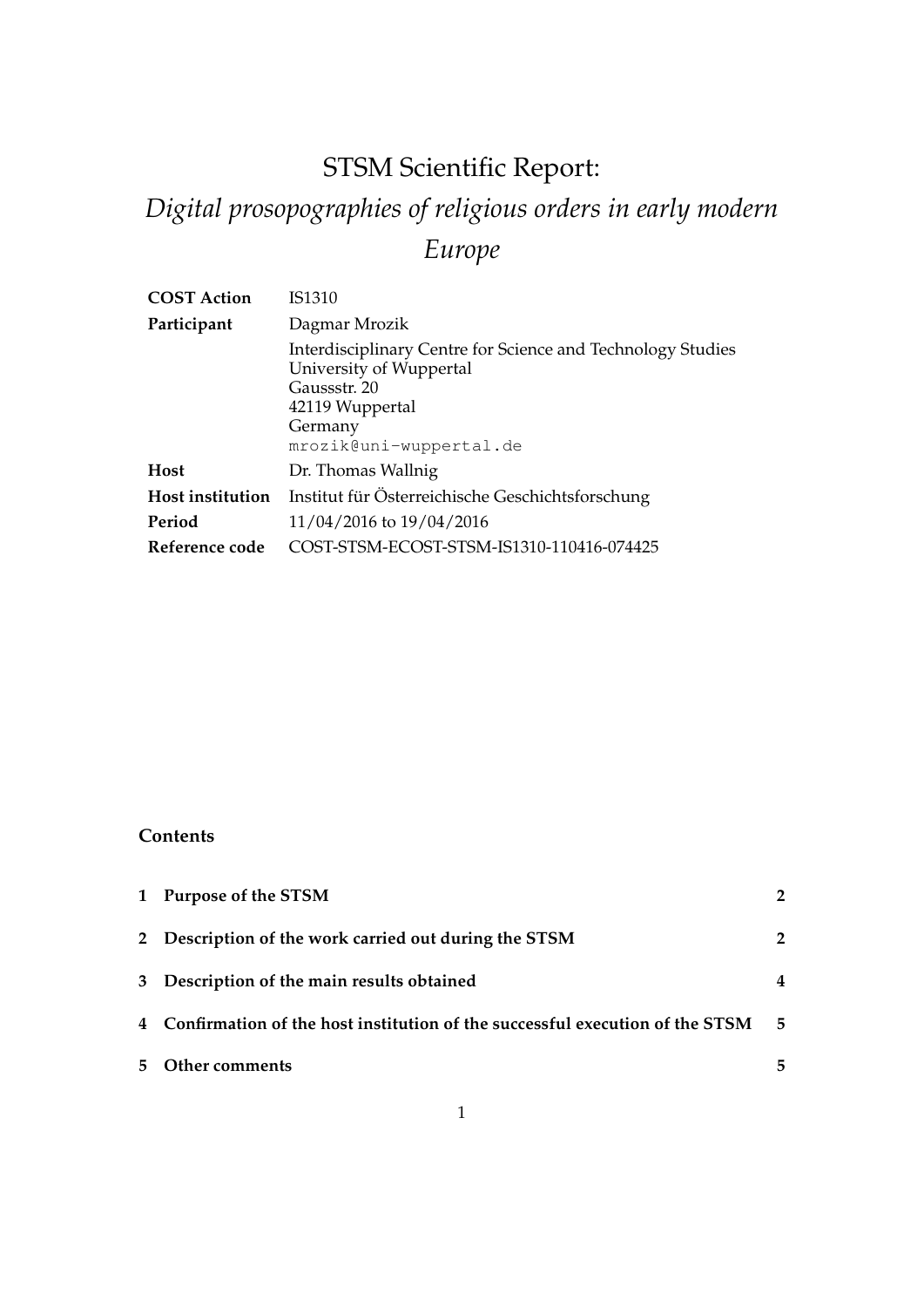## STSM Scientific Report:

# *Digital prosopographies of religious orders in early modern Europe*

| <b>COST Action</b> | IS1310                                                                                                                                                          |
|--------------------|-----------------------------------------------------------------------------------------------------------------------------------------------------------------|
| Participant        | Dagmar Mrozik                                                                                                                                                   |
|                    | Interdisciplinary Centre for Science and Technology Studies<br>University of Wuppertal<br>Gaussstr. 20<br>42119 Wuppertal<br>Germany<br>mrozik@uni-wuppertal.de |
| <b>Host</b>        | Dr. Thomas Wallnig                                                                                                                                              |
| Host institution   | Institut für Österreichische Geschichtsforschung                                                                                                                |
| Period             | 11/04/2016 to 19/04/2016                                                                                                                                        |
| Reference code     | COST-STSM-ECOST-STSM-IS1310-110416-074425                                                                                                                       |
|                    |                                                                                                                                                                 |

## **Contents**

|    | 1 Purpose of the STSM                                                          | $2^{\circ}$  |
|----|--------------------------------------------------------------------------------|--------------|
|    | 2 Description of the work carried out during the STSM                          | $\mathbf{2}$ |
|    | 3 Description of the main results obtained                                     |              |
|    | 4 Confirmation of the host institution of the successful execution of the STSM | -5           |
| 5. | Other comments                                                                 | 5.           |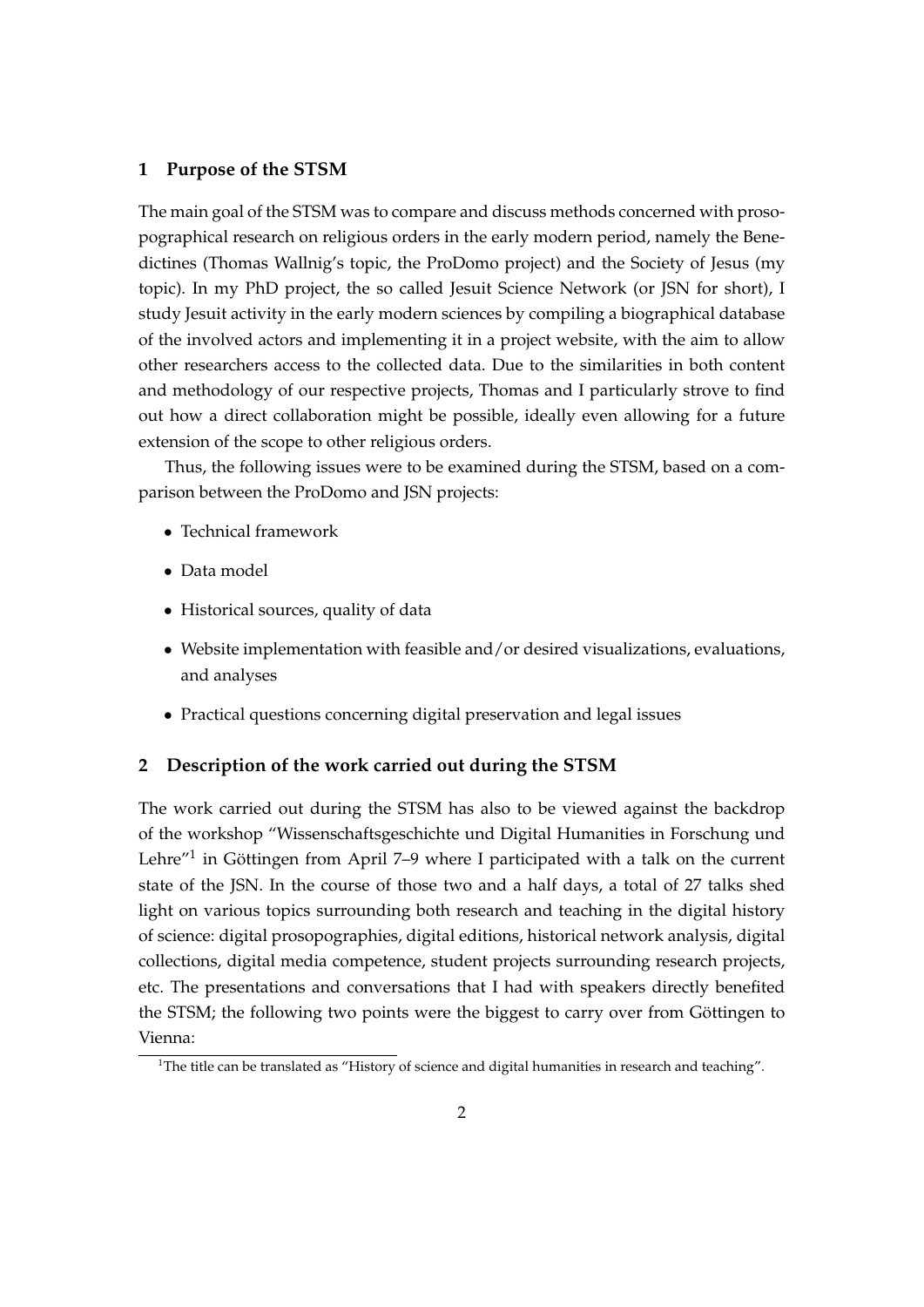#### **1 Purpose of the STSM**

The main goal of the STSM was to compare and discuss methods concerned with prosopographical research on religious orders in the early modern period, namely the Benedictines (Thomas Wallnig's topic, the ProDomo project) and the Society of Jesus (my topic). In my PhD project, the so called Jesuit Science Network (or JSN for short), I study Jesuit activity in the early modern sciences by compiling a biographical database of the involved actors and implementing it in a project website, with the aim to allow other researchers access to the collected data. Due to the similarities in both content and methodology of our respective projects, Thomas and I particularly strove to find out how a direct collaboration might be possible, ideally even allowing for a future extension of the scope to other religious orders.

Thus, the following issues were to be examined during the STSM, based on a comparison between the ProDomo and JSN projects:

- Technical framework
- Data model
- Historical sources, quality of data
- Website implementation with feasible and/or desired visualizations, evaluations, and analyses
- Practical questions concerning digital preservation and legal issues

#### **2 Description of the work carried out during the STSM**

The work carried out during the STSM has also to be viewed against the backdrop of the workshop "Wissenschaftsgeschichte und Digital Humanities in Forschung und Lehre"<sup>1</sup> in Göttingen from April 7–9 where I participated with a talk on the current state of the JSN. In the course of those two and a half days, a total of 27 talks shed light on various topics surrounding both research and teaching in the digital history of science: digital prosopographies, digital editions, historical network analysis, digital collections, digital media competence, student projects surrounding research projects, etc. The presentations and conversations that I had with speakers directly benefited the STSM; the following two points were the biggest to carry over from Göttingen to Vienna:

<sup>&</sup>lt;sup>1</sup>The title can be translated as "History of science and digital humanities in research and teaching".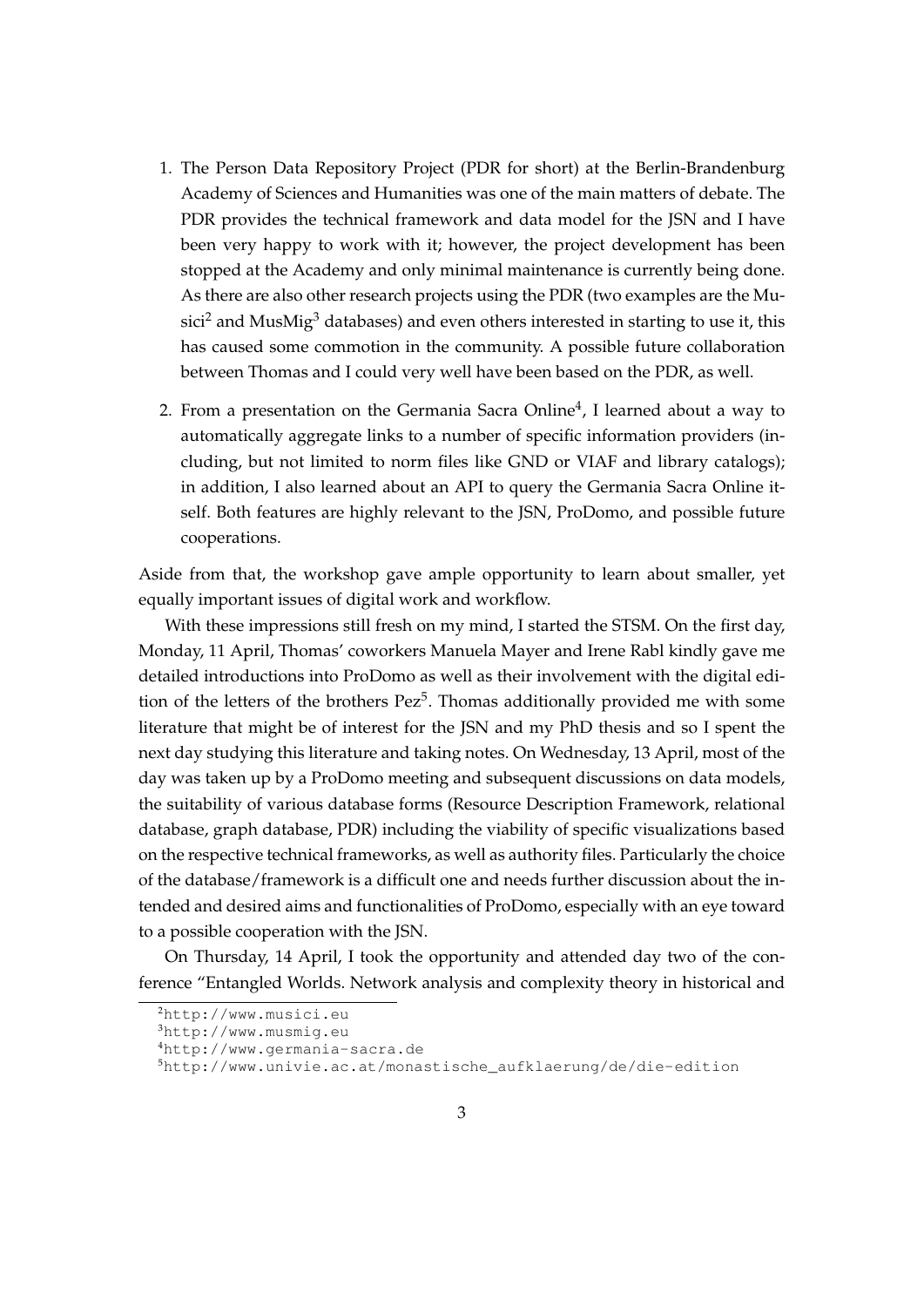- 1. The Person Data Repository Project (PDR for short) at the Berlin-Brandenburg Academy of Sciences and Humanities was one of the main matters of debate. The PDR provides the technical framework and data model for the JSN and I have been very happy to work with it; however, the project development has been stopped at the Academy and only minimal maintenance is currently being done. As there are also other research projects using the PDR (two examples are the Mu- $\text{sici}^2$  and MusMig<sup>3</sup> databases) and even others interested in starting to use it, this has caused some commotion in the community. A possible future collaboration between Thomas and I could very well have been based on the PDR, as well.
- 2. From a presentation on the Germania Sacra Online $^4$ , I learned about a way to automatically aggregate links to a number of specific information providers (including, but not limited to norm files like GND or VIAF and library catalogs); in addition, I also learned about an API to query the Germania Sacra Online itself. Both features are highly relevant to the JSN, ProDomo, and possible future cooperations.

Aside from that, the workshop gave ample opportunity to learn about smaller, yet equally important issues of digital work and workflow.

With these impressions still fresh on my mind, I started the STSM. On the first day, Monday, 11 April, Thomas' coworkers Manuela Mayer and Irene Rabl kindly gave me detailed introductions into ProDomo as well as their involvement with the digital edition of the letters of the brothers  $Pez^5$ . Thomas additionally provided me with some literature that might be of interest for the JSN and my PhD thesis and so I spent the next day studying this literature and taking notes. On Wednesday, 13 April, most of the day was taken up by a ProDomo meeting and subsequent discussions on data models, the suitability of various database forms (Resource Description Framework, relational database, graph database, PDR) including the viability of specific visualizations based on the respective technical frameworks, as well as authority files. Particularly the choice of the database/framework is a difficult one and needs further discussion about the intended and desired aims and functionalities of ProDomo, especially with an eye toward to a possible cooperation with the JSN.

On Thursday, 14 April, I took the opportunity and attended day two of the conference "Entangled Worlds. Network analysis and complexity theory in historical and

<sup>2</sup>http://www.musici.eu

 $3$ http://www.musmig.eu

<sup>4</sup>http://www.germania-sacra.de

 $5$ http://www.univie.ac.at/monastische\_aufklaerung/de/die-edition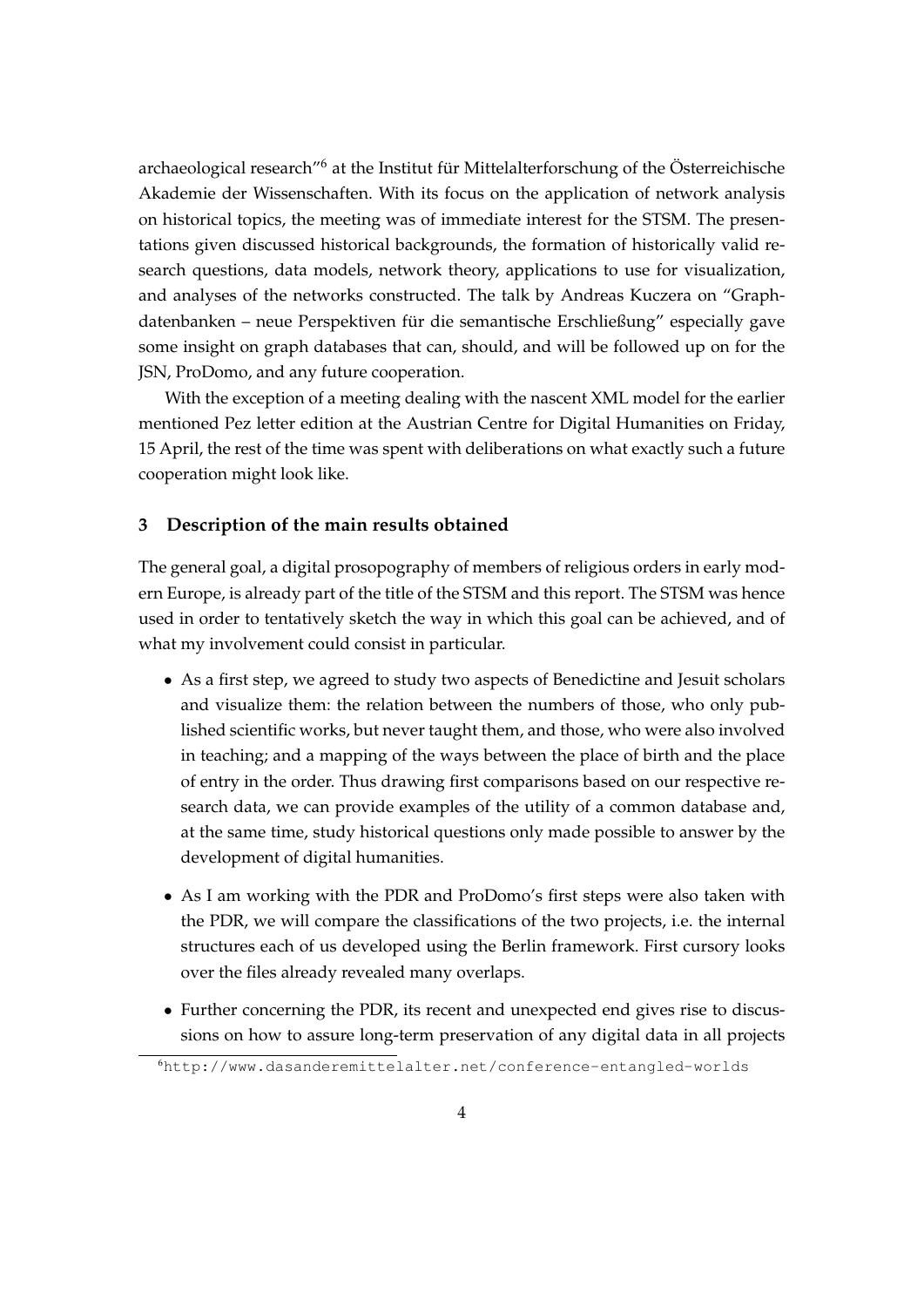archaeological research"<sup>6</sup> at the Institut für Mittelalterforschung of the Österreichische Akademie der Wissenschaften. With its focus on the application of network analysis on historical topics, the meeting was of immediate interest for the STSM. The presentations given discussed historical backgrounds, the formation of historically valid research questions, data models, network theory, applications to use for visualization, and analyses of the networks constructed. The talk by Andreas Kuczera on "Graphdatenbanken – neue Perspektiven für die semantische Erschließung" especially gave some insight on graph databases that can, should, and will be followed up on for the JSN, ProDomo, and any future cooperation.

With the exception of a meeting dealing with the nascent XML model for the earlier mentioned Pez letter edition at the Austrian Centre for Digital Humanities on Friday, 15 April, the rest of the time was spent with deliberations on what exactly such a future cooperation might look like.

#### **3 Description of the main results obtained**

The general goal, a digital prosopography of members of religious orders in early modern Europe, is already part of the title of the STSM and this report. The STSM was hence used in order to tentatively sketch the way in which this goal can be achieved, and of what my involvement could consist in particular.

- As a first step, we agreed to study two aspects of Benedictine and Jesuit scholars and visualize them: the relation between the numbers of those, who only published scientific works, but never taught them, and those, who were also involved in teaching; and a mapping of the ways between the place of birth and the place of entry in the order. Thus drawing first comparisons based on our respective research data, we can provide examples of the utility of a common database and, at the same time, study historical questions only made possible to answer by the development of digital humanities.
- As I am working with the PDR and ProDomo's first steps were also taken with the PDR, we will compare the classifications of the two projects, i.e. the internal structures each of us developed using the Berlin framework. First cursory looks over the files already revealed many overlaps.
- Further concerning the PDR, its recent and unexpected end gives rise to discussions on how to assure long-term preservation of any digital data in all projects

<sup>6</sup>http://www.dasanderemittelalter.net/conference-entangled-worlds